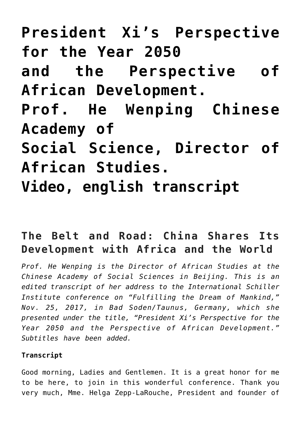**[President Xi's Perspective](https://schillerinstitut.dk/si/2017/12/president-xis-perspective-the-year-2050-and-the-perspective-of-african-development-prof-he-wenping-chinese-academy-of-social-science-director-of-african-studies-video-english-transcr/) [for the Year 2050](https://schillerinstitut.dk/si/2017/12/president-xis-perspective-the-year-2050-and-the-perspective-of-african-development-prof-he-wenping-chinese-academy-of-social-science-director-of-african-studies-video-english-transcr/) [and the Perspective of](https://schillerinstitut.dk/si/2017/12/president-xis-perspective-the-year-2050-and-the-perspective-of-african-development-prof-he-wenping-chinese-academy-of-social-science-director-of-african-studies-video-english-transcr/) [African Development.](https://schillerinstitut.dk/si/2017/12/president-xis-perspective-the-year-2050-and-the-perspective-of-african-development-prof-he-wenping-chinese-academy-of-social-science-director-of-african-studies-video-english-transcr/) [Prof. He Wenping Chinese](https://schillerinstitut.dk/si/2017/12/president-xis-perspective-the-year-2050-and-the-perspective-of-african-development-prof-he-wenping-chinese-academy-of-social-science-director-of-african-studies-video-english-transcr/) [Academy of](https://schillerinstitut.dk/si/2017/12/president-xis-perspective-the-year-2050-and-the-perspective-of-african-development-prof-he-wenping-chinese-academy-of-social-science-director-of-african-studies-video-english-transcr/) [Social Science, Director of](https://schillerinstitut.dk/si/2017/12/president-xis-perspective-the-year-2050-and-the-perspective-of-african-development-prof-he-wenping-chinese-academy-of-social-science-director-of-african-studies-video-english-transcr/) [African Studies.](https://schillerinstitut.dk/si/2017/12/president-xis-perspective-the-year-2050-and-the-perspective-of-african-development-prof-he-wenping-chinese-academy-of-social-science-director-of-african-studies-video-english-transcr/) [Video, english transcript](https://schillerinstitut.dk/si/2017/12/president-xis-perspective-the-year-2050-and-the-perspective-of-african-development-prof-he-wenping-chinese-academy-of-social-science-director-of-african-studies-video-english-transcr/)**

# **The Belt and Road: China Shares Its Development with Africa and the World**

*Prof. He Wenping is the Director of African Studies at the Chinese Academy of Social Sciences in Beijing. This is an edited transcript of her address to the International Schiller Institute conference on "Fulfilling the Dream of Mankind," Nov. 25, 2017, in Bad Soden/Taunus, Germany, which she presented under the title, "President Xi's Perspective for the Year 2050 and the Perspective of African Development." Subtitles have been added.*

#### **Transcript**

Good morning, Ladies and Gentlemen. It is a great honor for me to be here, to join in this wonderful conference. Thank you very much, Mme. Helga Zepp-LaRouche, President and founder of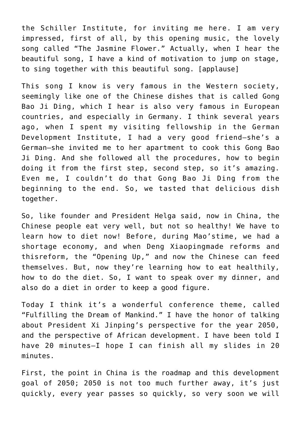the Schiller Institute, for inviting me here. I am very impressed, first of all, by this opening music, the lovely song called "The Jasmine Flower." Actually, when I hear the beautiful song, I have a kind of motivation to jump on stage, to sing together with this beautiful song. [applause]

This song I know is very famous in the Western society, seemingly like one of the Chinese dishes that is called Gong Bao Ji Ding, which I hear is also very famous in European countries, and especially in Germany. I think several years ago, when I spent my visiting fellowship in the German Development Institute, I had a very good friend—she's a German—she invited me to her apartment to cook this Gong Bao Ji Ding. And she followed all the procedures, how to begin doing it from the first step, second step, so it's amazing. Even me, I couldn't do that Gong Bao Ji Ding from the beginning to the end. So, we tasted that delicious dish together.

So, like founder and President Helga said, now in China, the Chinese people eat very well, but not so healthy! We have to learn how to diet now! Before, during Mao'stime, we had a shortage economy, and when Deng Xiaopingmade reforms and thisreform, the "Opening Up," and now the Chinese can feed themselves. But, now they're learning how to eat healthily, how to do the diet. So, I want to speak over my dinner, and also do a diet in order to keep a good figure.

Today I think it's a wonderful conference theme, called "Fulfilling the Dream of Mankind." I have the honor of talking about President Xi Jinping's perspective for the year 2050, and the perspective of African development. I have been told I have 20 minutes—I hope I can finish all my slides in 20 minutes.

First, the point in China is the roadmap and this development goal of 2050; 2050 is not too much further away, it's just quickly, every year passes so quickly, so very soon we will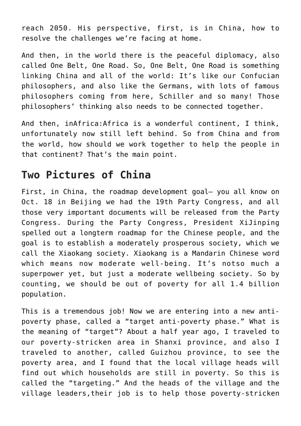reach 2050. His perspective, first, is in China, how to resolve the challenges we're facing at home.

And then, in the world there is the peaceful diplomacy, also called One Belt, One Road. So, One Belt, One Road is something linking China and all of the world: It's like our Confucian philosophers, and also like the Germans, with lots of famous philosophers coming from here, Schiller and so many! Those philosophers' thinking also needs to be connected together.

And then, inAfrica:Africa is a wonderful continent, I think, unfortunately now still left behind. So from China and from the world, how should we work together to help the people in that continent? That's the main point.

## **Two Pictures of China**

First, in China, the roadmap development goal— you all know on Oct. 18 in Beijing we had the 19th Party Congress, and all those very important documents will be released from the Party Congress. During the Party Congress, President XiJinping spelled out a longterm roadmap for the Chinese people, and the goal is to establish a moderately prosperous society, which we call the Xiaokang society. Xiaokang is a Mandarin Chinese word which means now moderate well-being. It's notso much a superpower yet, but just a moderate wellbeing society. So by counting, we should be out of poverty for all 1.4 billion population.

This is a tremendous job! Now we are entering into a new antipoverty phase, called a "target anti-poverty phase." What is the meaning of "target"? About a half year ago, I traveled to our poverty-stricken area in Shanxi province, and also I traveled to another, called Guizhou province, to see the poverty area, and I found that the local village heads will find out which households are still in poverty. So this is called the "targeting." And the heads of the village and the village leaders,their job is to help those poverty-stricken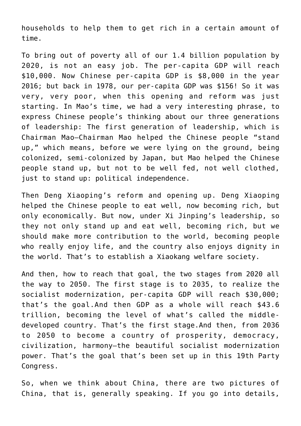households to help them to get rich in a certain amount of time.

To bring out of poverty all of our 1.4 billion population by 2020, is not an easy job. The per-capita GDP will reach \$10,000. Now Chinese per-capita GDP is \$8,000 in the year 2016; but back in 1978, our per-capita GDP was \$156! So it was very, very poor, when this opening and reform was just starting. In Mao's time, we had a very interesting phrase, to express Chinese people's thinking about our three generations of leadership: The first generation of leadership, which is Chairman Mao—Chairman Mao helped the Chinese people "stand up," which means, before we were lying on the ground, being colonized, semi-colonized by Japan, but Mao helped the Chinese people stand up, but not to be well fed, not well clothed, just to stand up: political independence.

Then Deng Xiaoping's reform and opening up. Deng Xiaoping helped the Chinese people to eat well, now becoming rich, but only economically. But now, under Xi Jinping's leadership, so they not only stand up and eat well, becoming rich, but we should make more contribution to the world, becoming people who really enjoy life, and the country also enjoys dignity in the world. That's to establish a Xiaokang welfare society.

And then, how to reach that goal, the two stages from 2020 all the way to 2050. The first stage is to 2035, to realize the socialist modernization, per-capita GDP will reach \$30,000; that's the goal.And then GDP as a whole will reach \$43.6 trillion, becoming the level of what's called the middledeveloped country. That's the first stage.And then, from 2036 to 2050 to become a country of prosperity, democracy, civilization, harmony—the beautiful socialist modernization power. That's the goal that's been set up in this 19th Party Congress.

So, when we think about China, there are two pictures of China, that is, generally speaking. If you go into details,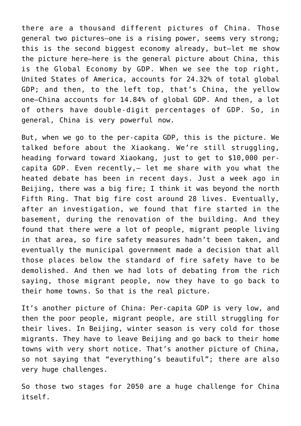there are a thousand different pictures of China. Those general two pictures—one is a rising power, seems very strong; this is the second biggest economy already, but—let me show the picture here—here is the general picture about China, this is the Global Economy by GDP. When we see the top right, United States of America, accounts for 24.32% of total global GDP; and then, to the left top, that's China, the yellow one—China accounts for 14.84% of global GDP. And then, a lot of others have double-digit percentages of GDP. So, in general, China is very powerful now.

But, when we go to the per-capita GDP, this is the picture. We talked before about the Xiaokang. We're still struggling, heading forward toward Xiaokang, just to get to \$10,000 percapita GDP. Even recently,— let me share with you what the heated debate has been in recent days. Just a week ago in Beijing, there was a big fire; I think it was beyond the north Fifth Ring. That big fire cost around 28 lives. Eventually, after an investigation, we found that fire started in the basement, during the renovation of the building. And they found that there were a lot of people, migrant people living in that area, so fire safety measures hadn't been taken, and eventually the municipal government made a decision that all those places below the standard of fire safety have to be demolished. And then we had lots of debating from the rich saying, those migrant people, now they have to go back to their home towns. So that is the real picture.

It's another picture of China: Per-capita GDP is very low, and then the poor people, migrant people, are still struggling for their lives. In Beijing, winter season is very cold for those migrants. They have to leave Beijing and go back to their home towns with very short notice. That's another picture of China, so not saying that "everything's beautiful"; there are also very huge challenges.

So those two stages for 2050 are a huge challenge for China itself.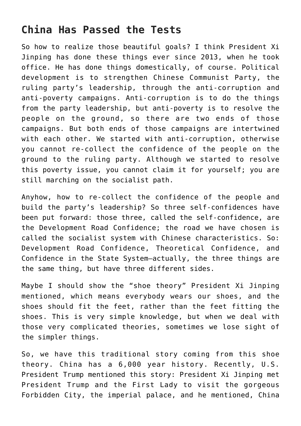## **China Has Passed the Tests**

So how to realize those beautiful goals? I think President Xi Jinping has done these things ever since 2013, when he took office. He has done things domestically, of course. Political development is to strengthen Chinese Communist Party, the ruling party's leadership, through the anti-corruption and anti-poverty campaigns. Anti-corruption is to do the things from the party leadership, but anti-poverty is to resolve the people on the ground, so there are two ends of those campaigns. But both ends of those campaigns are intertwined with each other. We started with anti-corruption, otherwise you cannot re-collect the confidence of the people on the ground to the ruling party. Although we started to resolve this poverty issue, you cannot claim it for yourself; you are still marching on the socialist path.

Anyhow, how to re-collect the confidence of the people and build the party's leadership? So three self-confidences have been put forward: those three, called the self-confidence, are the Development Road Confidence; the road we have chosen is called the socialist system with Chinese characteristics. So: Development Road Confidence, Theoretical Confidence, and Confidence in the State System—actually, the three things are the same thing, but have three different sides.

Maybe I should show the "shoe theory" President Xi Jinping mentioned, which means everybody wears our shoes, and the shoes should fit the feet, rather than the feet fitting the shoes. This is very simple knowledge, but when we deal with those very complicated theories, sometimes we lose sight of the simpler things.

So, we have this traditional story coming from this shoe theory. China has a 6,000 year history. Recently, U.S. President Trump mentioned this story: President Xi Jinping met President Trump and the First Lady to visit the gorgeous Forbidden City, the imperial palace, and he mentioned, China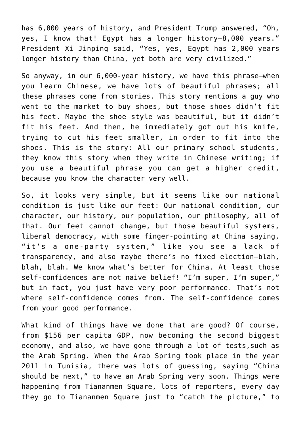has 6,000 years of history, and President Trump answered, "Oh, yes, I know that! Egypt has a longer history—8,000 years." President Xi Jinping said, "Yes, yes, Egypt has 2,000 years longer history than China, yet both are very civilized."

So anyway, in our 6,000-year history, we have this phrase—when you learn Chinese, we have lots of beautiful phrases; all these phrases come from stories. This story mentions a guy who went to the market to buy shoes, but those shoes didn't fit his feet. Maybe the shoe style was beautiful, but it didn't fit his feet. And then, he immediately got out his knife, trying to cut his feet smaller, in order to fit into the shoes. This is the story: All our primary school students, they know this story when they write in Chinese writing; if you use a beautiful phrase you can get a higher credit, because you know the character very well.

So, it looks very simple, but it seems like our national condition is just like our feet: Our national condition, our character, our history, our population, our philosophy, all of that. Our feet cannot change, but those beautiful systems, liberal democracy, with some finger-pointing at China saying, "it's a one-party system," like you see a lack of transparency, and also maybe there's no fixed election—blah, blah, blah. We know what's better for China. At least those self-confidences are not naive belief! "I'm super, I'm super," but in fact, you just have very poor performance. That's not where self-confidence comes from. The self-confidence comes from your good performance.

What kind of things have we done that are good? Of course, from \$156 per capita GDP, now becoming the second biggest economy, and also, we have gone through a lot of tests,such as the Arab Spring. When the Arab Spring took place in the year 2011 in Tunisia, there was lots of guessing, saying "China should be next," to have an Arab Spring very soon. Things were happening from Tiananmen Square, lots of reporters, every day they go to Tiananmen Square just to "catch the picture," to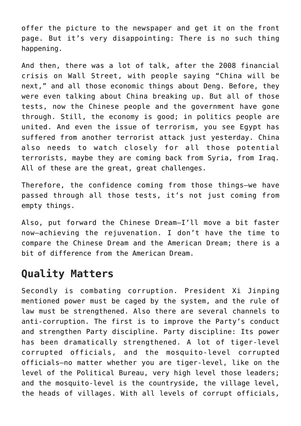offer the picture to the newspaper and get it on the front page. But it's very disappointing: There is no such thing happening.

And then, there was a lot of talk, after the 2008 financial crisis on Wall Street, with people saying "China will be next," and all those economic things about Deng. Before, they were even talking about China breaking up. But all of those tests, now the Chinese people and the government have gone through. Still, the economy is good; in politics people are united. And even the issue of terrorism, you see Egypt has suffered from another terrorist attack just yesterday. China also needs to watch closely for all those potential terrorists, maybe they are coming back from Syria, from Iraq. All of these are the great, great challenges.

Therefore, the confidence coming from those things—we have passed through all those tests, it's not just coming from empty things.

Also, put forward the Chinese Dream—I'll move a bit faster now—achieving the rejuvenation. I don't have the time to compare the Chinese Dream and the American Dream; there is a bit of difference from the American Dream.

## **Quality Matters**

Secondly is combating corruption. President Xi Jinping mentioned power must be caged by the system, and the rule of law must be strengthened. Also there are several channels to anti-corruption. The first is to improve the Party's conduct and strengthen Party discipline. Party discipline: Its power has been dramatically strengthened. A lot of tiger-level corrupted officials, and the mosquito-level corrupted officials—no matter whether you are tiger-level, like on the level of the Political Bureau, very high level those leaders; and the mosquito-level is the countryside, the village level, the heads of villages. With all levels of corrupt officials,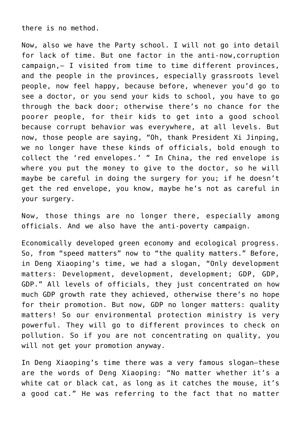there is no method.

Now, also we have the Party school. I will not go into detail for lack of time. But one factor in the anti-now,corruption campaign,— I visited from time to time different provinces, and the people in the provinces, especially grassroots level people, now feel happy, because before, whenever you'd go to see a doctor, or you send your kids to school, you have to go through the back door; otherwise there's no chance for the poorer people, for their kids to get into a good school because corrupt behavior was everywhere, at all levels. But now, those people are saying, "Oh, thank President Xi Jinping, we no longer have these kinds of officials, bold enough to collect the 'red envelopes.' " In China, the red envelope is where you put the money to give to the doctor, so he will maybe be careful in doing the surgery for you; if he doesn't get the red envelope, you know, maybe he's not as careful in your surgery.

Now, those things are no longer there, especially among officials. And we also have the anti-poverty campaign.

Economically developed green economy and ecological progress. So, from "speed matters" now to "the quality matters." Before, in Deng Xiaoping's time, we had a slogan, "Only development matters: Development, development, development; GDP, GDP, GDP." All levels of officials, they just concentrated on how much GDP growth rate they achieved, otherwise there's no hope for their promotion. But now, GDP no longer matters: quality matters! So our environmental protection ministry is very powerful. They will go to different provinces to check on pollution. So if you are not concentrating on quality, you will not get your promotion anyway.

In Deng Xiaoping's time there was a very famous slogan—these are the words of Deng Xiaoping: "No matter whether it's a white cat or black cat, as long as it catches the mouse, it's a good cat." He was referring to the fact that no matter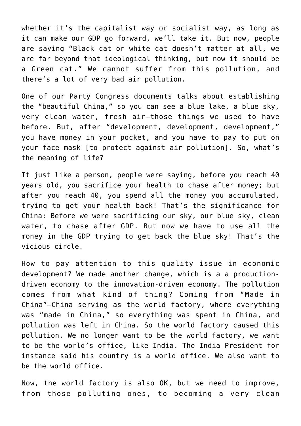whether it's the capitalist way or socialist way, as long as it can make our GDP go forward, we'll take it. But now, people are saying "Black cat or white cat doesn't matter at all, we are far beyond that ideological thinking, but now it should be a Green cat." We cannot suffer from this pollution, and there's a lot of very bad air pollution.

One of our Party Congress documents talks about establishing the "beautiful China," so you can see a blue lake, a blue sky, very clean water, fresh air—those things we used to have before. But, after "development, development, development," you have money in your pocket, and you have to pay to put on your face mask [to protect against air pollution]. So, what's the meaning of life?

It just like a person, people were saving, before you reach 40 years old, you sacrifice your health to chase after money; but after you reach 40, you spend all the money you accumulated, trying to get your health back! That's the significance for China: Before we were sacrificing our sky, our blue sky, clean water, to chase after GDP. But now we have to use all the money in the GDP trying to get back the blue sky! That's the vicious circle.

How to pay attention to this quality issue in economic development? We made another change, which is a a productiondriven economy to the innovation-driven economy. The pollution comes from what kind of thing? Coming from "Made in China"—China serving as the world factory, where everything was "made in China," so everything was spent in China, and pollution was left in China. So the world factory caused this pollution. We no longer want to be the world factory, we want to be the world's office, like India. The India President for instance said his country is a world office. We also want to be the world office.

Now, the world factory is also OK, but we need to improve, from those polluting ones, to becoming a very clean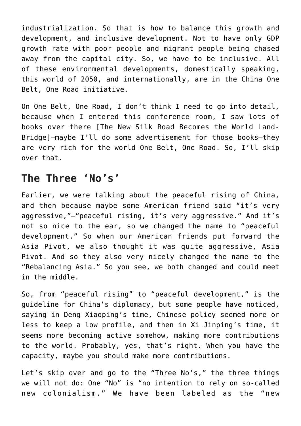industrialization. So that is how to balance this growth and development, and inclusive development. Not to have only GDP growth rate with poor people and migrant people being chased away from the capital city. So, we have to be inclusive. All of these environmental developments, domestically speaking, this world of 2050, and internationally, are in the China One Belt, One Road initiative.

On One Belt, One Road, I don't think I need to go into detail, because when I entered this conference room, I saw lots of books over there [The New Silk Road Becomes the World Land-Bridge]—maybe I'll do some advertisement for those books—they are very rich for the world One Belt, One Road. So, I'll skip over that.

### **The Three 'No's'**

Earlier, we were talking about the peaceful rising of China, and then because maybe some American friend said "it's very aggressive,"—"peaceful rising, it's very aggressive." And it's not so nice to the ear, so we changed the name to "peaceful development." So when our American friends put forward the Asia Pivot, we also thought it was quite aggressive, Asia Pivot. And so they also very nicely changed the name to the "Rebalancing Asia." So you see, we both changed and could meet in the middle.

So, from "peaceful rising" to "peaceful development," is the guideline for China's diplomacy, but some people have noticed, saying in Deng Xiaoping's time, Chinese policy seemed more or less to keep a low profile, and then in Xi Jinping's time, it seems more becoming active somehow, making more contributions to the world. Probably, yes, that's right. When you have the capacity, maybe you should make more contributions.

Let's skip over and go to the "Three No's," the three things we will not do: One "No" is "no intention to rely on so-called new colonialism." We have been labeled as the "new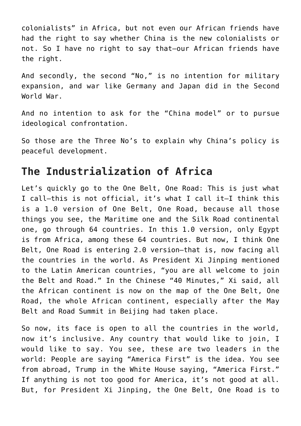colonialists" in Africa, but not even our African friends have had the right to say whether China is the new colonialists or not. So I have no right to say that—our African friends have the right.

And secondly, the second "No," is no intention for military expansion, and war like Germany and Japan did in the Second World War.

And no intention to ask for the "China model" or to pursue ideological confrontation.

So those are the Three No's to explain why China's policy is peaceful development.

#### **The Industrialization of Africa**

Let's quickly go to the One Belt, One Road: This is just what I call—this is not official, it's what I call it—I think this is a 1.0 version of One Belt, One Road, because all those things you see, the Maritime one and the Silk Road continental one, go through 64 countries. In this 1.0 version, only Egypt is from Africa, among these 64 countries. But now, I think One Belt, One Road is entering 2.0 version—that is, now facing all the countries in the world. As President Xi Jinping mentioned to the Latin American countries, "you are all welcome to join the Belt and Road." In the Chinese "40 Minutes," Xi said, all the African continent is now on the map of the One Belt, One Road, the whole African continent, especially after the May Belt and Road Summit in Beijing had taken place.

So now, its face is open to all the countries in the world, now it's inclusive. Any country that would like to join, I would like to say. You see, these are two leaders in the world: People are saying "America First" is the idea. You see from abroad, Trump in the White House saying, "America First." If anything is not too good for America, it's not good at all. But, for President Xi Jinping, the One Belt, One Road is to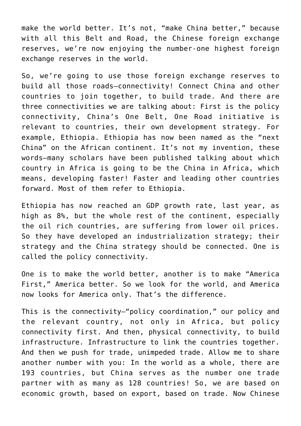make the world better. It's not, "make China better," because with all this Belt and Road, the Chinese foreign exchange reserves, we're now enjoying the number-one highest foreign exchange reserves in the world.

So, we're going to use those foreign exchange reserves to build all those roads—connectivity! Connect China and other countries to join together, to build trade. And there are three connectivities we are talking about: First is the policy connectivity, China's One Belt, One Road initiative is relevant to countries, their own development strategy. For example, Ethiopia. Ethiopia has now been named as the "next China" on the African continent. It's not my invention, these words—many scholars have been published talking about which country in Africa is going to be the China in Africa, which means, developing faster! Faster and leading other countries forward. Most of them refer to Ethiopia.

Ethiopia has now reached an GDP growth rate, last year, as high as 8%, but the whole rest of the continent, especially the oil rich countries, are suffering from lower oil prices. So they have developed an industrialization strategy; their strategy and the China strategy should be connected. One is called the policy connectivity.

One is to make the world better, another is to make "America First," America better. So we look for the world, and America now looks for America only. That's the difference.

This is the connectivity—"policy coordination," our policy and the relevant country, not only in Africa, but policy connectivity first. And then, physical connectivity, to build infrastructure. Infrastructure to link the countries together. And then we push for trade, unimpeded trade. Allow me to share another number with you: In the world as a whole, there are 193 countries, but China serves as the number one trade partner with as many as 128 countries! So, we are based on economic growth, based on export, based on trade. Now Chinese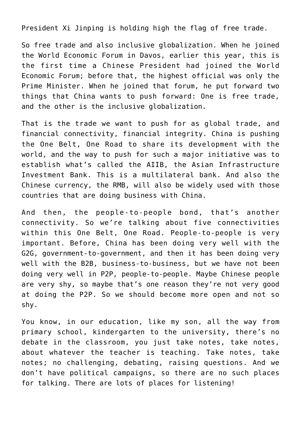President Xi Jinping is holding high the flag of free trade.

So free trade and also inclusive globalization. When he joined the World Economic Forum in Davos, earlier this year, this is the first time a Chinese President had joined the World Economic Forum; before that, the highest official was only the Prime Minister. When he joined that forum, he put forward two things that China wants to push forward: One is free trade, and the other is the inclusive globalization.

That is the trade we want to push for as global trade, and financial connectivity, financial integrity. China is pushing the One Belt, One Road to share its development with the world, and the way to push for such a major initiative was to establish what's called the AIIB, the Asian Infrastructure Investment Bank. This is a multilateral bank. And also the Chinese currency, the RMB, will also be widely used with those countries that are doing business with China.

And then, the people-to-people bond, that's another connectivity. So we're talking about five connectivities within this One Belt, One Road. People-to-people is very important. Before, China has been doing very well with the G2G, government-to-government, and then it has been doing very well with the B2B, business-to-business, but we have not been doing very well in P2P, people-to-people. Maybe Chinese people are very shy, so maybe that's one reason they're not very good at doing the P2P. So we should become more open and not so shy.

You know, in our education, like my son, all the way from primary school, kindergarten to the university, there's no debate in the classroom, you just take notes, take notes, about whatever the teacher is teaching. Take notes, take notes; no challenging, debating, raising questions. And we don't have political campaigns, so there are no such places for talking. There are lots of places for listening!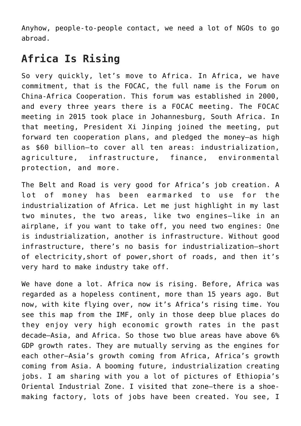Anyhow, people-to-people contact, we need a lot of NGOs to go abroad.

## **Africa Is Rising**

So very quickly, let's move to Africa. In Africa, we have commitment, that is the FOCAC, the full name is the Forum on China-Africa Cooperation. This forum was established in 2000, and every three years there is a FOCAC meeting. The FOCAC meeting in 2015 took place in Johannesburg, South Africa. In that meeting, President Xi Jinping joined the meeting, put forward ten cooperation plans, and pledged the money—as high as \$60 billion—to cover all ten areas: industrialization, agriculture, infrastructure, finance, environmental protection, and more.

The Belt and Road is very good for Africa's job creation. A lot of money has been earmarked to use for the industrialization of Africa. Let me just highlight in my last two minutes, the two areas, like two engines—like in an airplane, if you want to take off, you need two engines: One is industrialization, another is infrastructure. Without good infrastructure, there's no basis for industrialization—short of electricity,short of power,short of roads, and then it's very hard to make industry take off.

We have done a lot. Africa now is rising. Before, Africa was regarded as a hopeless continent, more than 15 years ago. But now, with kite flying over, now it's Africa's rising time. You see this map from the IMF, only in those deep blue places do they enjoy very high economic growth rates in the past decade—Asia, and Africa. So those two blue areas have above 6% GDP growth rates. They are mutually serving as the engines for each other—Asia's growth coming from Africa, Africa's growth coming from Asia. A booming future, industrialization creating jobs. I am sharing with you a lot of pictures of Ethiopia's Oriental Industrial Zone. I visited that zone—there is a shoemaking factory, lots of jobs have been created. You see, I